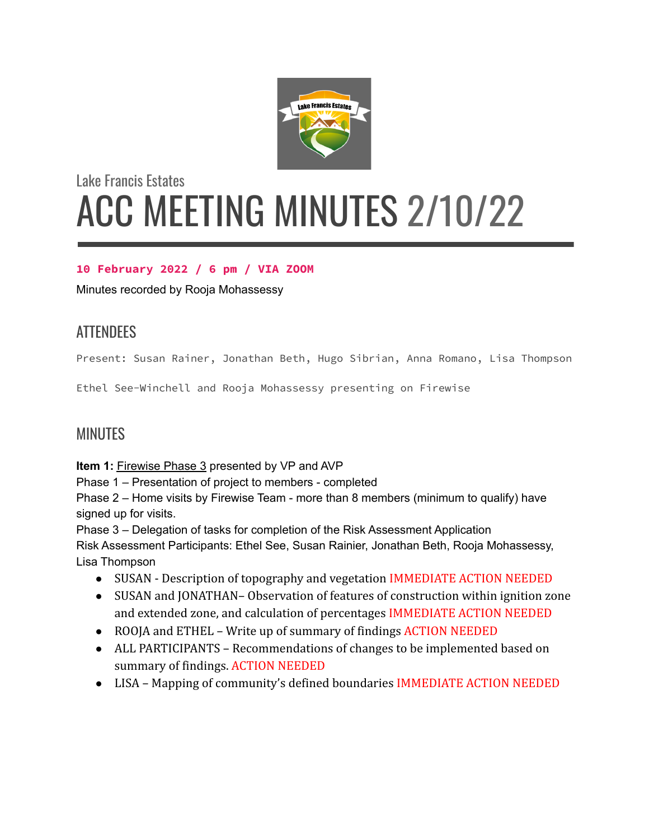

# Lake Francis Estates ACC MEETING MINUTES 2/10/22

### **10 February 2022 / 6 pm / VIA ZOOM**

Minutes recorded by Rooja Mohassessy

# ATTENDEES

Present: Susan Rainer, Jonathan Beth, Hugo Sibrian, Anna Romano, Lisa Thompson

Ethel See-Winchell and Rooja Mohassessy presenting on Firewise

## **MINUTES**

**Item 1:** Firewise Phase 3 presented by VP and AVP

Phase 1 – Presentation of project to members - completed

Phase 2 – Home visits by Firewise Team - more than 8 members (minimum to qualify) have signed up for visits.

Phase 3 – Delegation of tasks for completion of the Risk Assessment Application

Risk Assessment Participants: Ethel See, Susan Rainier, Jonathan Beth, Rooja Mohassessy, Lisa Thompson

- SUSAN Description of topography and vegetation IMMEDIATE ACTION NEEDED
- SUSAN and JONATHAN– Observation of features of construction within ignition zone and extended zone, and calculation of percentages IMMEDIATE ACTION NEEDED
- ROOJA and ETHEL Write up of summary of findings ACTION NEEDED
- ALL PARTICIPANTS Recommendations of changes to be implemented based on summary of findings. ACTION NEEDED
- LISA Mapping of community's defined boundaries IMMEDIATE ACTION NEEDED